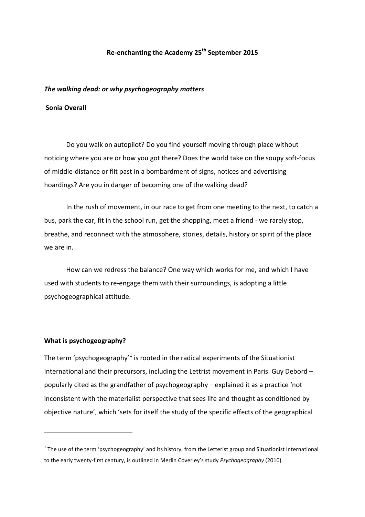# **Re-enchanting the Academy 25th September 2015**

#### *The walking dead: or why psychogeography matters*

### **Sonia Overall**

Do you walk on autopilot? Do you find yourself moving through place without noticing where you are or how you got there? Does the world take on the soupy soft-focus of middle-distance or flit past in a bombardment of signs, notices and advertising hoardings? Are you in danger of becoming one of the walking dead?

In the rush of movement, in our race to get from one meeting to the next, to catch a bus, park the car, fit in the school run, get the shopping, meet a friend - we rarely stop, breathe, and reconnect with the atmosphere, stories, details, history or spirit of the place we are in.

How can we redress the balance? One way which works for me, and which I have used with students to re-engage them with their surroundings, is adopting a little psychogeographical attitude.

## **What is psychogeography?**

**.** 

The term 'psychogeography'<sup>[1](#page-0-0)</sup> is rooted in the radical experiments of the Situationist International and their precursors, including the Lettrist movement in Paris. Guy Debord – popularly cited as the grandfather of psychogeography – explained it as a practice 'not inconsistent with the materialist perspective that sees life and thought as conditioned by objective nature', which 'sets for itself the study of the specific effects of the geographical

<span id="page-0-0"></span> $1$  The use of the term 'psychogeography' and its history, from the Letterist group and Situationist International to the early twenty-first century, is outlined in Merlin Coverley's study *Psychogeography* (2010).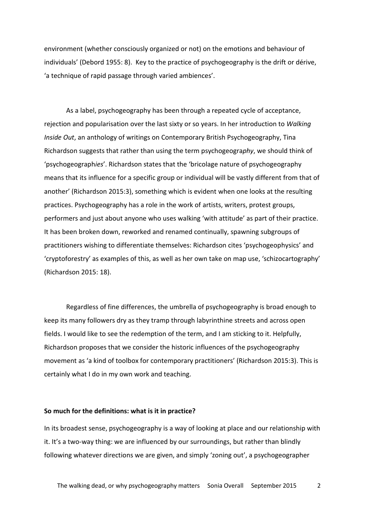environment (whether consciously organized or not) on the emotions and behaviour of individuals' (Debord 1955: 8). Key to the practice of psychogeography is the drift or dérive, 'a technique of rapid passage through varied ambiences'.

As a label, psychogeography has been through a repeated cycle of acceptance, rejection and popularisation over the last sixty or so years. In her introduction to *Walking Inside Out*, an anthology of writings on Contemporary British Psychogeography, Tina Richardson suggests that rather than using the term psychogeogra*phy*, we should think of 'psychogeograph*ies*'. Richardson states that the 'bricolage nature of psychogeography means that its influence for a specific group or individual will be vastly different from that of another' (Richardson 2015:3), something which is evident when one looks at the resulting practices. Psychogeography has a role in the work of artists, writers, protest groups, performers and just about anyone who uses walking 'with attitude' as part of their practice. It has been broken down, reworked and renamed continually, spawning subgroups of practitioners wishing to differentiate themselves: Richardson cites 'psychogeophysics' and 'cryptoforestry' as examples of this, as well as her own take on map use, 'schizocartography' (Richardson 2015: 18).

Regardless of fine differences, the umbrella of psychogeography is broad enough to keep its many followers dry as they tramp through labyrinthine streets and across open fields. I would like to see the redemption of the term, and I am sticking to it. Helpfully, Richardson proposes that we consider the historic influences of the psychogeography movement as 'a kind of toolbox for contemporary practitioners' (Richardson 2015:3). This is certainly what I do in my own work and teaching.

### **So much for the definitions: what is it in practice?**

In its broadest sense, psychogeography is a way of looking at place and our relationship with it. It's a two-way thing: we are influenced by our surroundings, but rather than blindly following whatever directions we are given, and simply 'zoning out', a psychogeographer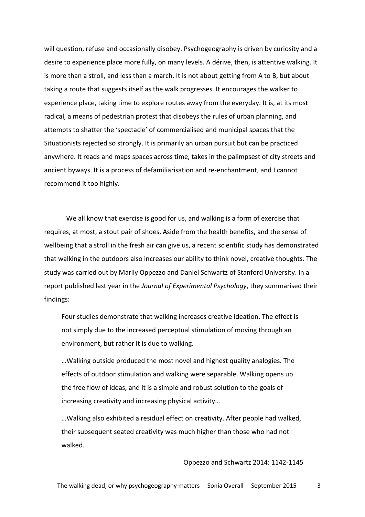will question, refuse and occasionally disobey. Psychogeography is driven by curiosity and a desire to experience place more fully, on many levels. A dérive, then, is attentive walking. It is more than a stroll, and less than a march. It is not about getting from A to B, but about taking a route that suggests itself as the walk progresses. It encourages the walker to experience place, taking time to explore routes away from the everyday. It is, at its most radical, a means of pedestrian protest that disobeys the rules of urban planning, and attempts to shatter the 'spectacle' of commercialised and municipal spaces that the Situationists rejected so strongly. It is primarily an urban pursuit but can be practiced anywhere. It reads and maps spaces across time, takes in the palimpsest of city streets and ancient byways. It is a process of defamiliarisation and re-enchantment, and I cannot recommend it too highly.

We all know that exercise is good for us, and walking is a form of exercise that requires, at most, a stout pair of shoes. Aside from the health benefits, and the sense of wellbeing that a stroll in the fresh air can give us, a recent scientific study has demonstrated that walking in the outdoors also increases our ability to think novel, creative thoughts. The study was carried out by Marily Oppezzo and Daniel Schwartz of Stanford University. In a report published last year in the *Journal of Experimental Psychology*, they summarised their findings:

Four studies demonstrate that walking increases creative ideation. The effect is not simply due to the increased perceptual stimulation of moving through an environment, but rather it is due to walking.

…Walking outside produced the most novel and highest quality analogies. The effects of outdoor stimulation and walking were separable. Walking opens up the free flow of ideas, and it is a simple and robust solution to the goals of increasing creativity and increasing physical activity…

…Walking also exhibited a residual effect on creativity. After people had walked, their subsequent seated creativity was much higher than those who had not walked.

Oppezzo and Schwartz 2014: 1142-1145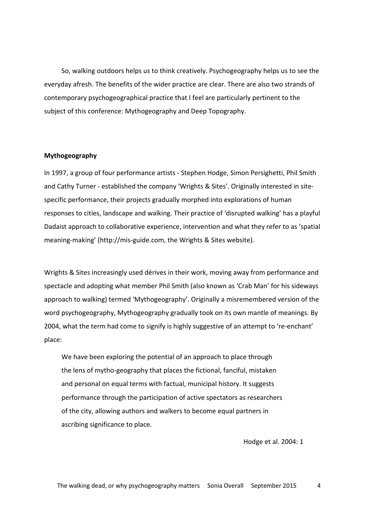So, walking outdoors helps us to think creatively. Psychogeography helps us to see the everyday afresh. The benefits of the wider practice are clear. There are also two strands of contemporary psychogeographical practice that I feel are particularly pertinent to the subject of this conference: Mythogeography and Deep Topography.

### **Mythogeography**

In 1997, a group of four performance artists - Stephen Hodge, Simon Persighetti, Phil Smith and Cathy Turner - established the company 'Wrights & Sites'. Originally interested in sitespecific performance, their projects gradually morphed into explorations of human responses to cities, landscape and walking. Their practice of 'disrupted walking' has a playful Dadaist approach to collaborative experience, intervention and what they refer to as 'spatial meaning-making' (http://mis-guide.com, the Wrights & Sites website).

Wrights & Sites increasingly used dérives in their work, moving away from performance and spectacle and adopting what member Phil Smith (also known as 'Crab Man' for his sideways approach to walking) termed 'Mythogeography'. Originally a misremembered version of the word psychogeography, Mythogeography gradually took on its own mantle of meanings. By 2004, what the term had come to signify is highly suggestive of an attempt to 're-enchant' place:

We have been exploring the potential of an approach to place through the lens of mytho-geography that places the fictional, fanciful, mistaken and personal on equal terms with factual, municipal history. It suggests performance through the participation of active spectators as researchers of the city, allowing authors and walkers to become equal partners in ascribing significance to place.

Hodge et al. 2004: 1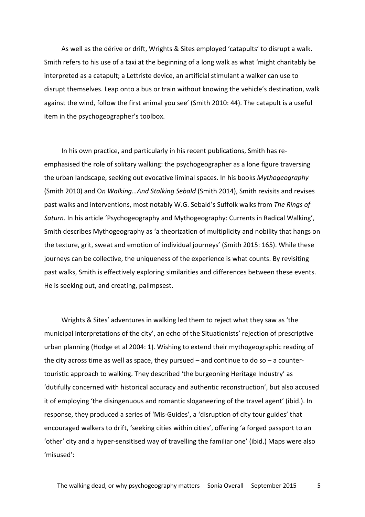As well as the dérive or drift, Wrights & Sites employed 'catapults' to disrupt a walk. Smith refers to his use of a taxi at the beginning of a long walk as what 'might charitably be interpreted as a catapult; a Lettriste device, an artificial stimulant a walker can use to disrupt themselves. Leap onto a bus or train without knowing the vehicle's destination, walk against the wind, follow the first animal you see' (Smith 2010: 44). The catapult is a useful item in the psychogeographer's toolbox.

In his own practice, and particularly in his recent publications, Smith has reemphasised the role of solitary walking: the psychogeographer as a lone figure traversing the urban landscape, seeking out evocative liminal spaces. In his books *Mythogeography* (Smith 2010) and O*n Walking…And Stalking Sebald* (Smith 2014), Smith revisits and revises past walks and interventions, most notably W.G. Sebald's Suffolk walks from *The Rings of Saturn*. In his article 'Psychogeography and Mythogeography: Currents in Radical Walking', Smith describes Mythogeography as 'a theorization of multiplicity and nobility that hangs on the texture, grit, sweat and emotion of individual journeys' (Smith 2015: 165). While these journeys can be collective, the uniqueness of the experience is what counts. By revisiting past walks, Smith is effectively exploring similarities and differences between these events. He is seeking out, and creating, palimpsest.

Wrights & Sites' adventures in walking led them to reject what they saw as 'the municipal interpretations of the city', an echo of the Situationists' rejection of prescriptive urban planning (Hodge et al 2004: 1). Wishing to extend their mythogeographic reading of the city across time as well as space, they pursued  $-$  and continue to do so  $-$  a countertouristic approach to walking. They described 'the burgeoning Heritage Industry' as 'dutifully concerned with historical accuracy and authentic reconstruction', but also accused it of employing 'the disingenuous and romantic sloganeering of the travel agent' (ibid.). In response, they produced a series of 'Mis-Guides', a 'disruption of city tour guides' that encouraged walkers to drift, 'seeking cities within cities', offering 'a forged passport to an 'other' city and a hyper-sensitised way of travelling the familiar one' (ibid.) Maps were also 'misused':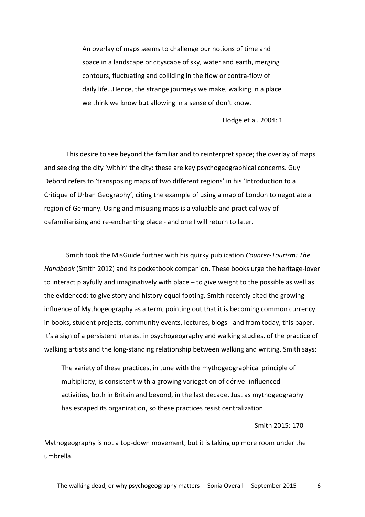An overlay of maps seems to challenge our notions of time and space in a landscape or cityscape of sky, water and earth, merging contours, fluctuating and colliding in the flow or contra-flow of daily life…Hence, the strange journeys we make, walking in a place we think we know but allowing in a sense of don't know.

Hodge et al. 2004: 1

This desire to see beyond the familiar and to reinterpret space; the overlay of maps and seeking the city 'within' the city: these are key psychogeographical concerns. Guy Debord refers to 'transposing maps of two different regions' in his 'Introduction to a Critique of Urban Geography', citing the example of using a map of London to negotiate a region of Germany. Using and misusing maps is a valuable and practical way of defamiliarising and re-enchanting place - and one I will return to later.

Smith took the MisGuide further with his quirky publication *Counter-Tourism: The Handbook* (Smith 2012) and its pocketbook companion. These books urge the heritage-lover to interact playfully and imaginatively with place – to give weight to the possible as well as the evidenced; to give story and history equal footing. Smith recently cited the growing influence of Mythogeography as a term, pointing out that it is becoming common currency in books, student projects, community events, lectures, blogs - and from today, this paper. It's a sign of a persistent interest in psychogeography and walking studies, of the practice of walking artists and the long-standing relationship between walking and writing. Smith says:

The variety of these practices, in tune with the mythogeographical principle of multiplicity, is consistent with a growing variegation of dérive -influenced activities, both in Britain and beyond, in the last decade. Just as mythogeography has escaped its organization, so these practices resist centralization.

#### Smith 2015: 170

Mythogeography is not a top-down movement, but it is taking up more room under the umbrella.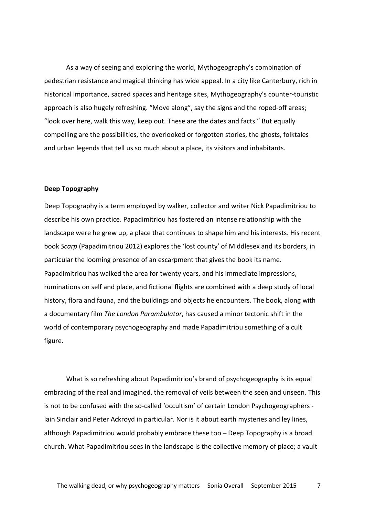As a way of seeing and exploring the world, Mythogeography's combination of pedestrian resistance and magical thinking has wide appeal. In a city like Canterbury, rich in historical importance, sacred spaces and heritage sites, Mythogeography's counter-touristic approach is also hugely refreshing. "Move along", say the signs and the roped-off areas; "look over here, walk this way, keep out. These are the dates and facts." But equally compelling are the possibilities, the overlooked or forgotten stories, the ghosts, folktales and urban legends that tell us so much about a place, its visitors and inhabitants.

#### **Deep Topography**

Deep Topography is a term employed by walker, collector and writer Nick Papadimitriou to describe his own practice. Papadimitriou has fostered an intense relationship with the landscape were he grew up, a place that continues to shape him and his interests. His recent book *Scarp* (Papadimitriou 2012) explores the 'lost county' of Middlesex and its borders, in particular the looming presence of an escarpment that gives the book its name. Papadimitriou has walked the area for twenty years, and his immediate impressions, ruminations on self and place, and fictional flights are combined with a deep study of local history, flora and fauna, and the buildings and objects he encounters. The book, along with a documentary film *The London Parambulator*, has caused a minor tectonic shift in the world of contemporary psychogeography and made Papadimitriou something of a cult figure.

What is so refreshing about Papadimitriou's brand of psychogeography is its equal embracing of the real and imagined, the removal of veils between the seen and unseen. This is not to be confused with the so-called 'occultism' of certain London Psychogeographers - Iain Sinclair and Peter Ackroyd in particular. Nor is it about earth mysteries and ley lines, although Papadimitriou would probably embrace these too – Deep Topography is a broad church. What Papadimitriou sees in the landscape is the collective memory of place; a vault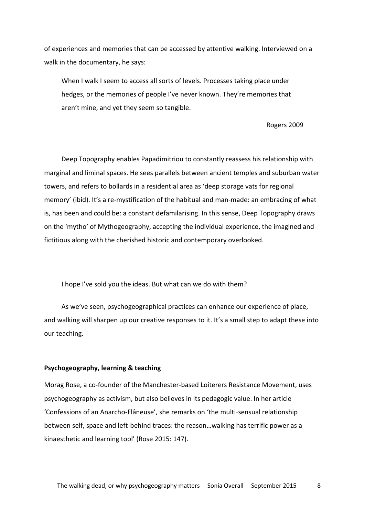of experiences and memories that can be accessed by attentive walking. Interviewed on a walk in the documentary, he says:

When I walk I seem to access all sorts of levels. Processes taking place under hedges, or the memories of people I've never known. They're memories that aren't mine, and yet they seem so tangible.

### Rogers 2009

Deep Topography enables Papadimitriou to constantly reassess his relationship with marginal and liminal spaces. He sees parallels between ancient temples and suburban water towers, and refers to bollards in a residential area as 'deep storage vats for regional memory' (ibid). It's a re-mystification of the habitual and man-made: an embracing of what is, has been and could be: a constant defamilarising. In this sense, Deep Topography draws on the 'mytho' of Mythogeography, accepting the individual experience, the imagined and fictitious along with the cherished historic and contemporary overlooked.

I hope I've sold you the ideas. But what can we do with them?

As we've seen, psychogeographical practices can enhance our experience of place, and walking will sharpen up our creative responses to it. It's a small step to adapt these into our teaching.

## **Psychogeography, learning & teaching**

Morag Rose, a co-founder of the Manchester-based Loiterers Resistance Movement, uses psychogeography as activism, but also believes in its pedagogic value. In her article 'Confessions of an Anarcho-Flâneuse', she remarks on 'the multi-sensual relationship between self, space and left-behind traces: the reason…walking has terrific power as a kinaesthetic and learning tool' (Rose 2015: 147).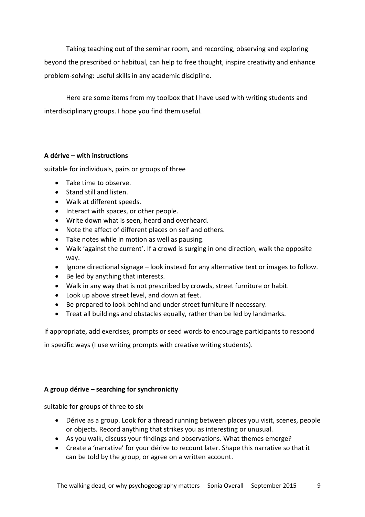Taking teaching out of the seminar room, and recording, observing and exploring beyond the prescribed or habitual, can help to free thought, inspire creativity and enhance problem-solving: useful skills in any academic discipline.

Here are some items from my toolbox that I have used with writing students and interdisciplinary groups. I hope you find them useful.

# **A dérive – with instructions**

suitable for individuals, pairs or groups of three

- Take time to observe.
- Stand still and listen.
- Walk at different speeds.
- Interact with spaces, or other people.
- Write down what is seen, heard and overheard.
- Note the affect of different places on self and others.
- Take notes while in motion as well as pausing.
- Walk 'against the current'. If a crowd is surging in one direction, walk the opposite way.
- Ignore directional signage look instead for any alternative text or images to follow.
- Be led by anything that interests.
- Walk in any way that is not prescribed by crowds, street furniture or habit.
- Look up above street level, and down at feet.
- Be prepared to look behind and under street furniture if necessary.
- Treat all buildings and obstacles equally, rather than be led by landmarks.

If appropriate, add exercises, prompts or seed words to encourage participants to respond

in specific ways (I use writing prompts with creative writing students).

# **A group dérive – searching for synchronicity**

suitable for groups of three to six

- Dérive as a group. Look for a thread running between places you visit, scenes, people or objects. Record anything that strikes you as interesting or unusual.
- As you walk, discuss your findings and observations. What themes emerge?
- Create a 'narrative' for your dérive to recount later. Shape this narrative so that it can be told by the group, or agree on a written account.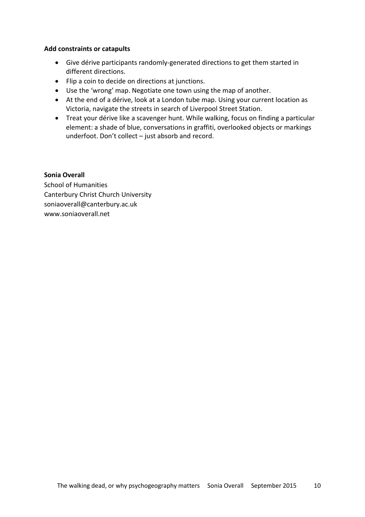## **Add constraints or catapults**

- Give dérive participants randomly-generated directions to get them started in different directions.
- Flip a coin to decide on directions at junctions.
- Use the 'wrong' map. Negotiate one town using the map of another.
- At the end of a dérive, look at a London tube map. Using your current location as Victoria, navigate the streets in search of Liverpool Street Station.
- Treat your dérive like a scavenger hunt. While walking, focus on finding a particular element: a shade of blue, conversations in graffiti, overlooked objects or markings underfoot. Don't collect – just absorb and record.

# **Sonia Overall**

School of Humanities Canterbury Christ Church University soniaoverall@canterbury.ac.uk www.soniaoverall.net